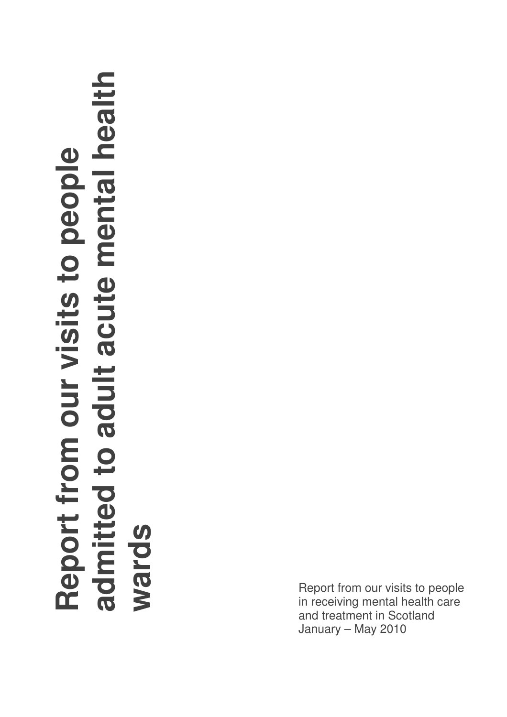# **Report from our visits to people admitted to adult acute mental health wards**

Report from our visits to people in receiving mental health care and treatment in Scotland January – May 2010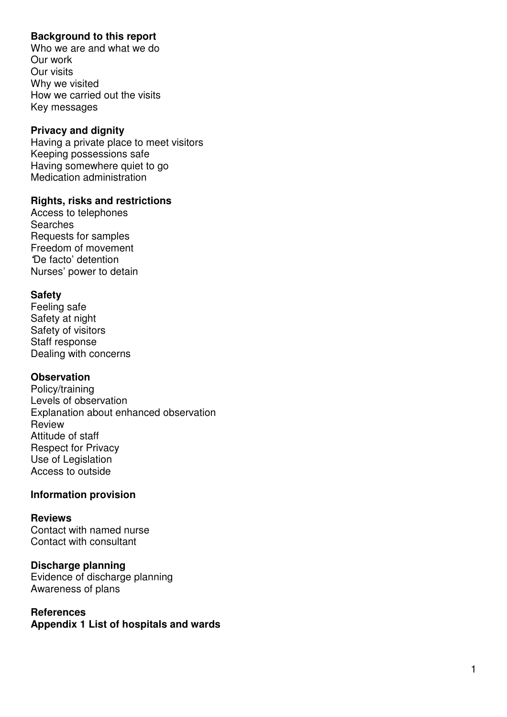#### **Background to this report**

Who we are and what we do Our work Our visits Why we visited How we carried out the visits Key messages

#### **Privacy and dignity**

Having a private place to meet visitors Keeping possessions safe Having somewhere quiet to go Medication administration

#### **Rights, risks and restrictions**

Access to telephones **Searches** Requests for samples Freedom of movement **'**De facto' detention Nurses' power to detain

#### **Safety**

Feeling safe Safety at night Safety of visitors Staff response Dealing with concerns

#### **Observation**

Policy/training Levels of observation Explanation about enhanced observation Review Attitude of staff Respect for Privacy Use of Legislation Access to outside

#### **Information provision**

#### **Reviews**

Contact with named nurse Contact with consultant

**Discharge planning**  Evidence of discharge planning Awareness of plans

#### **References Appendix 1 List of hospitals and wards**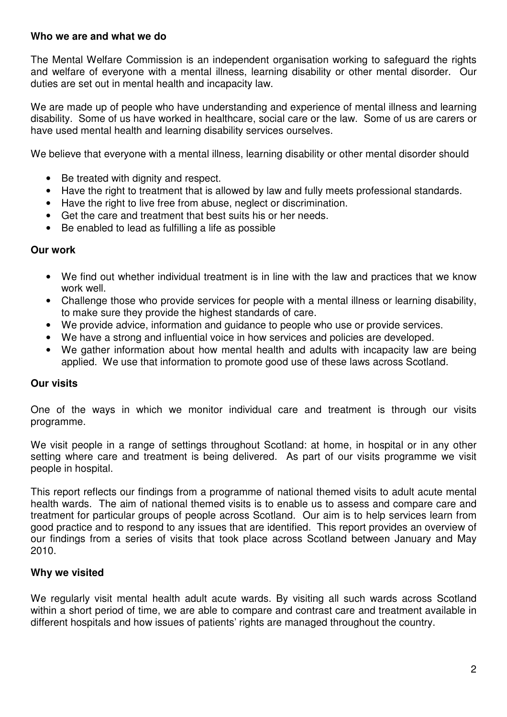#### **Who we are and what we do**

The Mental Welfare Commission is an independent organisation working to safeguard the rights and welfare of everyone with a mental illness, learning disability or other mental disorder. Our duties are set out in mental health and incapacity law.

We are made up of people who have understanding and experience of mental illness and learning disability. Some of us have worked in healthcare, social care or the law. Some of us are carers or have used mental health and learning disability services ourselves.

We believe that everyone with a mental illness, learning disability or other mental disorder should

- Be treated with dignity and respect.
- Have the right to treatment that is allowed by law and fully meets professional standards.
- Have the right to live free from abuse, neglect or discrimination.
- Get the care and treatment that best suits his or her needs.
- Be enabled to lead as fulfilling a life as possible

#### **Our work**

- We find out whether individual treatment is in line with the law and practices that we know work well.
- Challenge those who provide services for people with a mental illness or learning disability, to make sure they provide the highest standards of care.
- We provide advice, information and guidance to people who use or provide services.
- We have a strong and influential voice in how services and policies are developed.
- We gather information about how mental health and adults with incapacity law are being applied. We use that information to promote good use of these laws across Scotland.

#### **Our visits**

One of the ways in which we monitor individual care and treatment is through our visits programme.

We visit people in a range of settings throughout Scotland: at home, in hospital or in any other setting where care and treatment is being delivered. As part of our visits programme we visit people in hospital.

This report reflects our findings from a programme of national themed visits to adult acute mental health wards. The aim of national themed visits is to enable us to assess and compare care and treatment for particular groups of people across Scotland. Our aim is to help services learn from good practice and to respond to any issues that are identified. This report provides an overview of our findings from a series of visits that took place across Scotland between January and May 2010.

#### **Why we visited**

We regularly visit mental health adult acute wards. By visiting all such wards across Scotland within a short period of time, we are able to compare and contrast care and treatment available in different hospitals and how issues of patients' rights are managed throughout the country.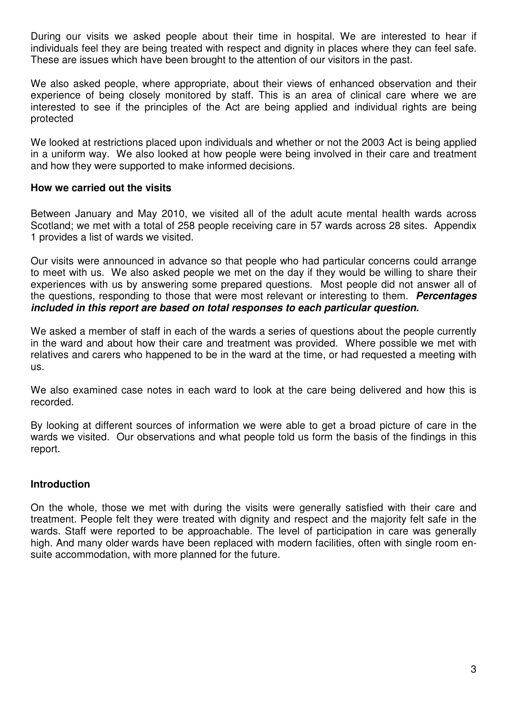During our visits we asked people about their time in hospital. We are interested to hear if individuals feel they are being treated with respect and dignity in places where they can feel safe. These are issues which have been brought to the attention of our visitors in the past.

We also asked people, where appropriate, about their views of enhanced observation and their experience of being closely monitored by staff. This is an area of clinical care where we are interested to see if the principles of the Act are being applied and individual rights are being protected

We looked at restrictions placed upon individuals and whether or not the 2003 Act is being applied in a uniform way. We also looked at how people were being involved in their care and treatment and how they were supported to make informed decisions.

#### **How we carried out the visits**

Between January and May 2010, we visited all of the adult acute mental health wards across Scotland; we met with a total of 258 people receiving care in 57 wards across 28 sites. Appendix 1 provides a list of wards we visited.

Our visits were announced in advance so that people who had particular concerns could arrange to meet with us. We also asked people we met on the day if they would be willing to share their experiences with us by answering some prepared questions. Most people did not answer all of the questions, responding to those that were most relevant or interesting to them. **Percentages included in this report are based on total responses to each particular question.**

We asked a member of staff in each of the wards a series of questions about the people currently in the ward and about how their care and treatment was provided. Where possible we met with relatives and carers who happened to be in the ward at the time, or had requested a meeting with us.

We also examined case notes in each ward to look at the care being delivered and how this is recorded.

By looking at different sources of information we were able to get a broad picture of care in the wards we visited. Our observations and what people told us form the basis of the findings in this report.

#### **Introduction**

On the whole, those we met with during the visits were generally satisfied with their care and treatment. People felt they were treated with dignity and respect and the majority felt safe in the wards. Staff were reported to be approachable. The level of participation in care was generally high. And many older wards have been replaced with modern facilities, often with single room ensuite accommodation, with more planned for the future.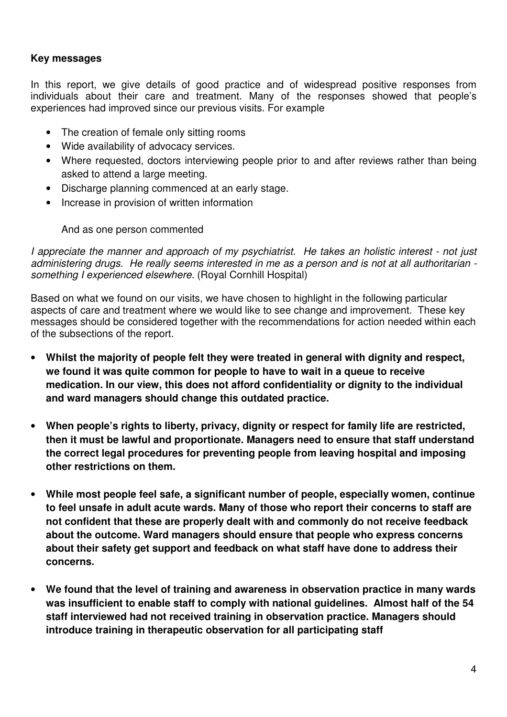#### **Key messages**

In this report, we give details of good practice and of widespread positive responses from individuals about their care and treatment. Many of the responses showed that people's experiences had improved since our previous visits. For example

- The creation of female only sitting rooms
- Wide availability of advocacy services.
- Where requested, doctors interviewing people prior to and after reviews rather than being asked to attend a large meeting.
- Discharge planning commenced at an early stage.
- Increase in provision of written information

#### And as one person commented

I appreciate the manner and approach of my psychiatrist. He takes an holistic interest - not just administering drugs. He really seems interested in me as a person and is not at all authoritarian something I experienced elsewhere. (Royal Cornhill Hospital)

Based on what we found on our visits, we have chosen to highlight in the following particular aspects of care and treatment where we would like to see change and improvement. These key messages should be considered together with the recommendations for action needed within each of the subsections of the report.

- **Whilst the majority of people felt they were treated in general with dignity and respect, we found it was quite common for people to have to wait in a queue to receive medication. In our view, this does not afford confidentiality or dignity to the individual and ward managers should change this outdated practice.**
- **When people's rights to liberty, privacy, dignity or respect for family life are restricted, then it must be lawful and proportionate. Managers need to ensure that staff understand the correct legal procedures for preventing people from leaving hospital and imposing other restrictions on them.**
- **While most people feel safe, a significant number of people, especially women, continue to feel unsafe in adult acute wards. Many of those who report their concerns to staff are not confident that these are properly dealt with and commonly do not receive feedback about the outcome. Ward managers should ensure that people who express concerns about their safety get support and feedback on what staff have done to address their concerns.**
- **We found that the level of training and awareness in observation practice in many wards was insufficient to enable staff to comply with national guidelines. Almost half of the 54 staff interviewed had not received training in observation practice. Managers should introduce training in therapeutic observation for all participating staff**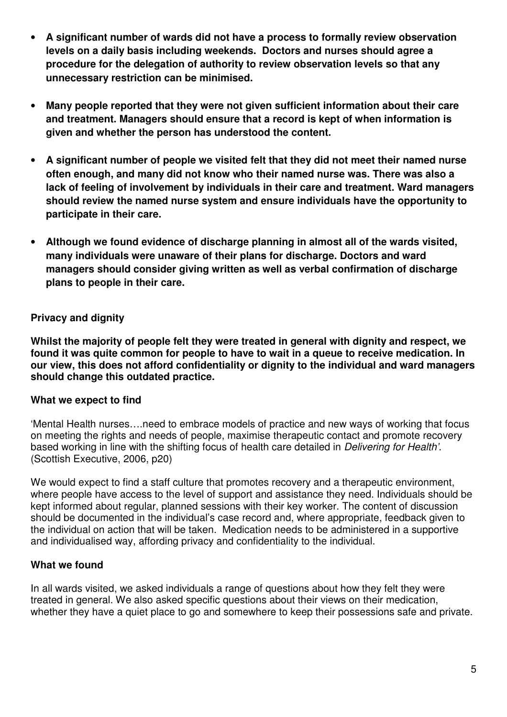- **A significant number of wards did not have a process to formally review observation levels on a daily basis including weekends. Doctors and nurses should agree a procedure for the delegation of authority to review observation levels so that any unnecessary restriction can be minimised.**
- **Many people reported that they were not given sufficient information about their care and treatment. Managers should ensure that a record is kept of when information is given and whether the person has understood the content.**
- **A significant number of people we visited felt that they did not meet their named nurse often enough, and many did not know who their named nurse was. There was also a lack of feeling of involvement by individuals in their care and treatment. Ward managers should review the named nurse system and ensure individuals have the opportunity to participate in their care.**
- **Although we found evidence of discharge planning in almost all of the wards visited, many individuals were unaware of their plans for discharge. Doctors and ward managers should consider giving written as well as verbal confirmation of discharge plans to people in their care.**

# **Privacy and dignity**

**Whilst the majority of people felt they were treated in general with dignity and respect, we found it was quite common for people to have to wait in a queue to receive medication. In our view, this does not afford confidentiality or dignity to the individual and ward managers should change this outdated practice.** 

# **What we expect to find**

'Mental Health nurses….need to embrace models of practice and new ways of working that focus on meeting the rights and needs of people, maximise therapeutic contact and promote recovery based working in line with the shifting focus of health care detailed in Delivering for Health'. (Scottish Executive, 2006, p20)

We would expect to find a staff culture that promotes recovery and a therapeutic environment, where people have access to the level of support and assistance they need. Individuals should be kept informed about regular, planned sessions with their key worker. The content of discussion should be documented in the individual's case record and, where appropriate, feedback given to the individual on action that will be taken. Medication needs to be administered in a supportive and individualised way, affording privacy and confidentiality to the individual.

# **What we found**

In all wards visited, we asked individuals a range of questions about how they felt they were treated in general. We also asked specific questions about their views on their medication, whether they have a quiet place to go and somewhere to keep their possessions safe and private.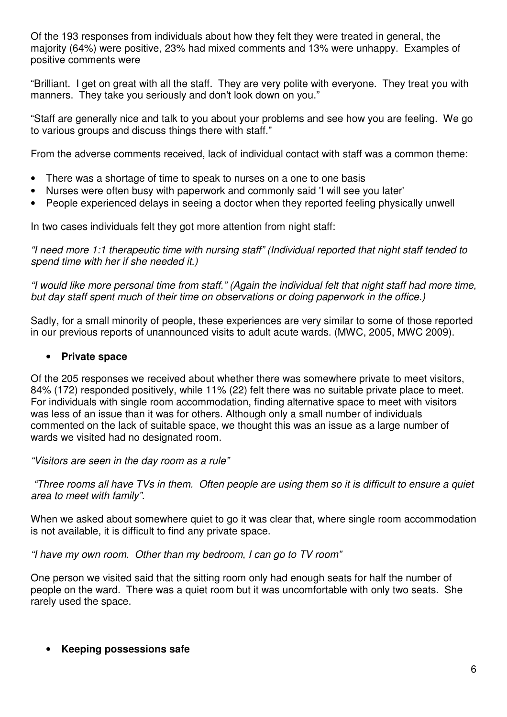Of the 193 responses from individuals about how they felt they were treated in general, the majority (64%) were positive, 23% had mixed comments and 13% were unhappy. Examples of positive comments were

"Brilliant. I get on great with all the staff. They are very polite with everyone. They treat you with manners. They take you seriously and don't look down on you."

"Staff are generally nice and talk to you about your problems and see how you are feeling. We go to various groups and discuss things there with staff."

From the adverse comments received, lack of individual contact with staff was a common theme:

- There was a shortage of time to speak to nurses on a one to one basis
- Nurses were often busy with paperwork and commonly said 'I will see you later'
- People experienced delays in seeing a doctor when they reported feeling physically unwell

In two cases individuals felt they got more attention from night staff:

"I need more 1:1 therapeutic time with nursing staff" (Individual reported that night staff tended to spend time with her if she needed it.)

"I would like more personal time from staff." (Again the individual felt that night staff had more time, but day staff spent much of their time on observations or doing paperwork in the office.)

Sadly, for a small minority of people, these experiences are very similar to some of those reported in our previous reports of unannounced visits to adult acute wards. (MWC, 2005, MWC 2009).

#### • **Private space**

Of the 205 responses we received about whether there was somewhere private to meet visitors, 84% (172) responded positively, while 11% (22) felt there was no suitable private place to meet. For individuals with single room accommodation, finding alternative space to meet with visitors was less of an issue than it was for others. Although only a small number of individuals commented on the lack of suitable space, we thought this was an issue as a large number of wards we visited had no designated room.

"Visitors are seen in the day room as a rule"

 "Three rooms all have TVs in them. Often people are using them so it is difficult to ensure a quiet area to meet with family".

When we asked about somewhere quiet to go it was clear that, where single room accommodation is not available, it is difficult to find any private space.

"I have my own room. Other than my bedroom, I can go to TV room"

One person we visited said that the sitting room only had enough seats for half the number of people on the ward. There was a quiet room but it was uncomfortable with only two seats. She rarely used the space.

#### • **Keeping possessions safe**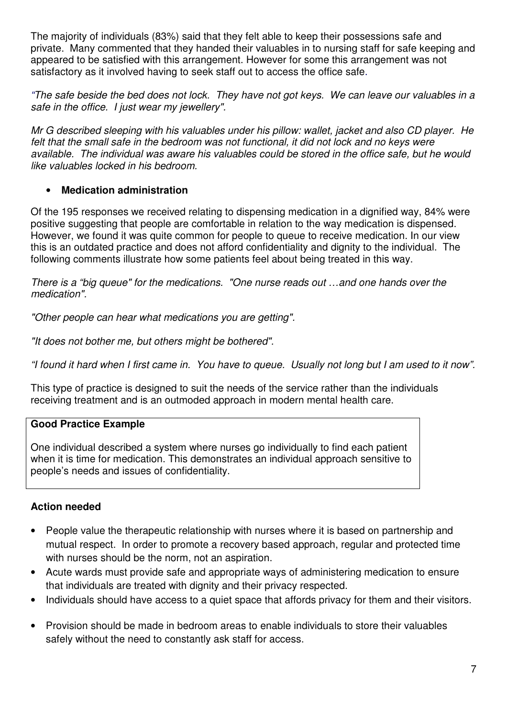The majority of individuals (83%) said that they felt able to keep their possessions safe and private. Many commented that they handed their valuables in to nursing staff for safe keeping and appeared to be satisfied with this arrangement. However for some this arrangement was not satisfactory as it involved having to seek staff out to access the office safe.

"The safe beside the bed does not lock. They have not got keys. We can leave our valuables in a safe in the office. I just wear my jewellery".

Mr G described sleeping with his valuables under his pillow: wallet, jacket and also CD player. He felt that the small safe in the bedroom was not functional, it did not lock and no keys were available. The individual was aware his valuables could be stored in the office safe, but he would like valuables locked in his bedroom.

# • **Medication administration**

Of the 195 responses we received relating to dispensing medication in a dignified way, 84% were positive suggesting that people are comfortable in relation to the way medication is dispensed. However, we found it was quite common for people to queue to receive medication. In our view this is an outdated practice and does not afford confidentiality and dignity to the individual. The following comments illustrate how some patients feel about being treated in this way.

There is a "big queue" for the medications. "One nurse reads out …and one hands over the medication".

"Other people can hear what medications you are getting".

"It does not bother me, but others might be bothered".

"I found it hard when I first came in. You have to queue. Usually not long but I am used to it now".

This type of practice is designed to suit the needs of the service rather than the individuals receiving treatment and is an outmoded approach in modern mental health care.

# **Good Practice Example**

One individual described a system where nurses go individually to find each patient when it is time for medication. This demonstrates an individual approach sensitive to people's needs and issues of confidentiality.

# **Action needed**

- People value the therapeutic relationship with nurses where it is based on partnership and mutual respect. In order to promote a recovery based approach, regular and protected time with nurses should be the norm, not an aspiration.
- Acute wards must provide safe and appropriate ways of administering medication to ensure that individuals are treated with dignity and their privacy respected.
- Individuals should have access to a quiet space that affords privacy for them and their visitors.
- Provision should be made in bedroom areas to enable individuals to store their valuables safely without the need to constantly ask staff for access.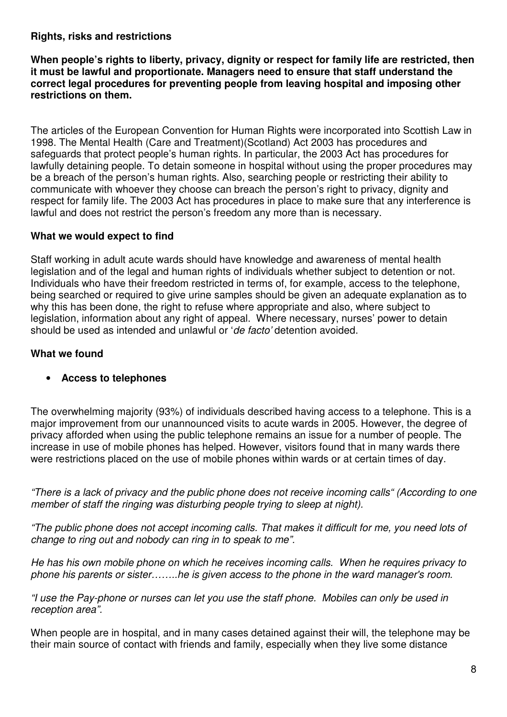#### **Rights, risks and restrictions**

**When people's rights to liberty, privacy, dignity or respect for family life are restricted, then it must be lawful and proportionate. Managers need to ensure that staff understand the correct legal procedures for preventing people from leaving hospital and imposing other restrictions on them.** 

The articles of the European Convention for Human Rights were incorporated into Scottish Law in 1998. The Mental Health (Care and Treatment)(Scotland) Act 2003 has procedures and safeguards that protect people's human rights. In particular, the 2003 Act has procedures for lawfully detaining people. To detain someone in hospital without using the proper procedures may be a breach of the person's human rights. Also, searching people or restricting their ability to communicate with whoever they choose can breach the person's right to privacy, dignity and respect for family life. The 2003 Act has procedures in place to make sure that any interference is lawful and does not restrict the person's freedom any more than is necessary.

#### **What we would expect to find**

Staff working in adult acute wards should have knowledge and awareness of mental health legislation and of the legal and human rights of individuals whether subject to detention or not. Individuals who have their freedom restricted in terms of, for example, access to the telephone, being searched or required to give urine samples should be given an adequate explanation as to why this has been done, the right to refuse where appropriate and also, where subject to legislation, information about any right of appeal. Where necessary, nurses' power to detain should be used as intended and unlawful or 'de facto' detention avoided.

#### **What we found**

#### • **Access to telephones**

The overwhelming majority (93%) of individuals described having access to a telephone. This is a major improvement from our unannounced visits to acute wards in 2005. However, the degree of privacy afforded when using the public telephone remains an issue for a number of people. The increase in use of mobile phones has helped. However, visitors found that in many wards there were restrictions placed on the use of mobile phones within wards or at certain times of day.

"There is a lack of privacy and the public phone does not receive incoming calls" (According to one member of staff the ringing was disturbing people trying to sleep at night).

"The public phone does not accept incoming calls. That makes it difficult for me, you need lots of change to ring out and nobody can ring in to speak to me".

He has his own mobile phone on which he receives incoming calls. When he requires privacy to phone his parents or sister……..he is given access to the phone in the ward manager's room.

"I use the Pay-phone or nurses can let you use the staff phone. Mobiles can only be used in reception area".

When people are in hospital, and in many cases detained against their will, the telephone may be their main source of contact with friends and family, especially when they live some distance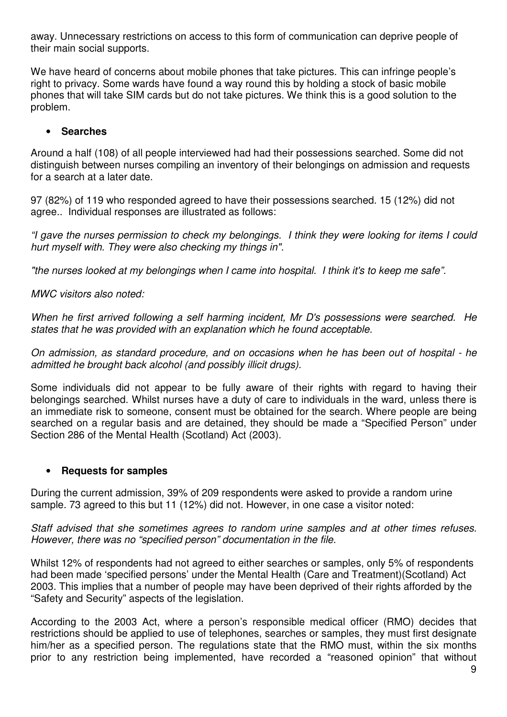away. Unnecessary restrictions on access to this form of communication can deprive people of their main social supports.

We have heard of concerns about mobile phones that take pictures. This can infringe people's right to privacy. Some wards have found a way round this by holding a stock of basic mobile phones that will take SIM cards but do not take pictures. We think this is a good solution to the problem.

#### • **Searches**

Around a half (108) of all people interviewed had had their possessions searched. Some did not distinguish between nurses compiling an inventory of their belongings on admission and requests for a search at a later date.

97 (82%) of 119 who responded agreed to have their possessions searched. 15 (12%) did not agree.. Individual responses are illustrated as follows:

"I gave the nurses permission to check my belongings. I think they were looking for items I could hurt myself with. They were also checking my things in".

"the nurses looked at my belongings when I came into hospital. I think it's to keep me safe".

MWC visitors also noted:

When he first arrived following a self harming incident, Mr D's possessions were searched. He states that he was provided with an explanation which he found acceptable.

On admission, as standard procedure, and on occasions when he has been out of hospital - he admitted he brought back alcohol (and possibly illicit drugs).

Some individuals did not appear to be fully aware of their rights with regard to having their belongings searched. Whilst nurses have a duty of care to individuals in the ward, unless there is an immediate risk to someone, consent must be obtained for the search. Where people are being searched on a regular basis and are detained, they should be made a "Specified Person" under Section 286 of the Mental Health (Scotland) Act (2003).

#### • **Requests for samples**

During the current admission, 39% of 209 respondents were asked to provide a random urine sample. 73 agreed to this but 11 (12%) did not. However, in one case a visitor noted:

Staff advised that she sometimes agrees to random urine samples and at other times refuses. However, there was no "specified person" documentation in the file.

Whilst 12% of respondents had not agreed to either searches or samples, only 5% of respondents had been made 'specified persons' under the Mental Health (Care and Treatment)(Scotland) Act 2003. This implies that a number of people may have been deprived of their rights afforded by the "Safety and Security" aspects of the legislation.

According to the 2003 Act, where a person's responsible medical officer (RMO) decides that restrictions should be applied to use of telephones, searches or samples, they must first designate him/her as a specified person. The regulations state that the RMO must, within the six months prior to any restriction being implemented, have recorded a "reasoned opinion" that without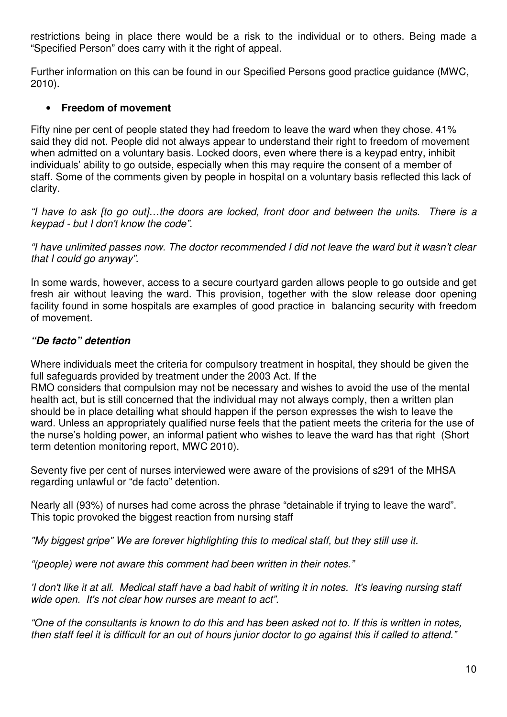restrictions being in place there would be a risk to the individual or to others. Being made a "Specified Person" does carry with it the right of appeal.

Further information on this can be found in our Specified Persons good practice guidance (MWC, 2010).

#### • **Freedom of movement**

Fifty nine per cent of people stated they had freedom to leave the ward when they chose. 41% said they did not. People did not always appear to understand their right to freedom of movement when admitted on a voluntary basis. Locked doors, even where there is a keypad entry, inhibit individuals' ability to go outside, especially when this may require the consent of a member of staff. Some of the comments given by people in hospital on a voluntary basis reflected this lack of clarity.

"I have to ask [to go out]…the doors are locked, front door and between the units. There is a keypad - but I don't know the code".

"I have unlimited passes now. The doctor recommended I did not leave the ward but it wasn't clear that I could go anyway".

In some wards, however, access to a secure courtyard garden allows people to go outside and get fresh air without leaving the ward. This provision, together with the slow release door opening facility found in some hospitals are examples of good practice in balancing security with freedom of movement.

#### **"De facto" detention**

Where individuals meet the criteria for compulsory treatment in hospital, they should be given the full safeguards provided by treatment under the 2003 Act. If the

RMO considers that compulsion may not be necessary and wishes to avoid the use of the mental health act, but is still concerned that the individual may not always comply, then a written plan should be in place detailing what should happen if the person expresses the wish to leave the ward. Unless an appropriately qualified nurse feels that the patient meets the criteria for the use of the nurse's holding power, an informal patient who wishes to leave the ward has that right (Short term detention monitoring report, MWC 2010).

Seventy five per cent of nurses interviewed were aware of the provisions of s291 of the MHSA regarding unlawful or "de facto" detention.

Nearly all (93%) of nurses had come across the phrase "detainable if trying to leave the ward". This topic provoked the biggest reaction from nursing staff

"My biggest gripe" We are forever highlighting this to medical staff, but they still use it.

"(people) were not aware this comment had been written in their notes."

'I don't like it at all. Medical staff have a bad habit of writing it in notes. It's leaving nursing staff wide open. It's not clear how nurses are meant to act".

"One of the consultants is known to do this and has been asked not to. If this is written in notes, then staff feel it is difficult for an out of hours junior doctor to go against this if called to attend."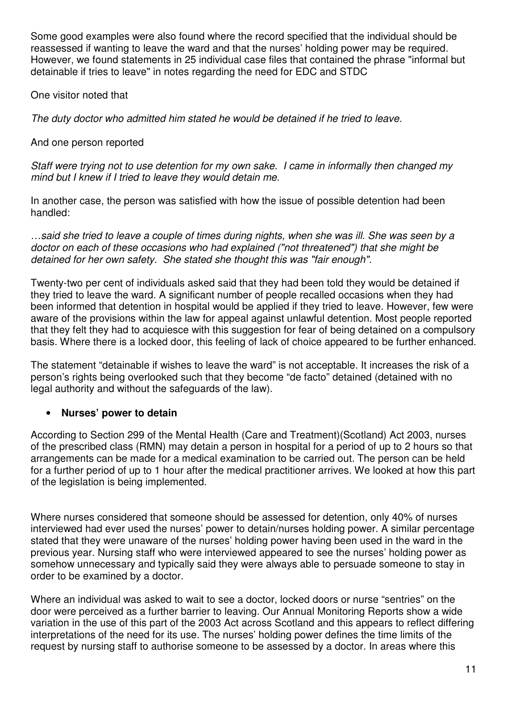Some good examples were also found where the record specified that the individual should be reassessed if wanting to leave the ward and that the nurses' holding power may be required. However, we found statements in 25 individual case files that contained the phrase "informal but detainable if tries to leave" in notes regarding the need for EDC and STDC

One visitor noted that

The duty doctor who admitted him stated he would be detained if he tried to leave.

And one person reported

Staff were trying not to use detention for my own sake. I came in informally then changed my mind but I knew if I tried to leave they would detain me.

In another case, the person was satisfied with how the issue of possible detention had been handled:

…said she tried to leave a couple of times during nights, when she was ill. She was seen by a doctor on each of these occasions who had explained ("not threatened") that she might be detained for her own safety. She stated she thought this was "fair enough".

Twenty-two per cent of individuals asked said that they had been told they would be detained if they tried to leave the ward. A significant number of people recalled occasions when they had been informed that detention in hospital would be applied if they tried to leave. However, few were aware of the provisions within the law for appeal against unlawful detention. Most people reported that they felt they had to acquiesce with this suggestion for fear of being detained on a compulsory basis. Where there is a locked door, this feeling of lack of choice appeared to be further enhanced.

The statement "detainable if wishes to leave the ward" is not acceptable. It increases the risk of a person's rights being overlooked such that they become "de facto" detained (detained with no legal authority and without the safeguards of the law).

# • **Nurses' power to detain**

According to Section 299 of the Mental Health (Care and Treatment)(Scotland) Act 2003, nurses of the prescribed class (RMN) may detain a person in hospital for a period of up to 2 hours so that arrangements can be made for a medical examination to be carried out. The person can be held for a further period of up to 1 hour after the medical practitioner arrives. We looked at how this part of the legislation is being implemented.

Where nurses considered that someone should be assessed for detention, only 40% of nurses interviewed had ever used the nurses' power to detain/nurses holding power. A similar percentage stated that they were unaware of the nurses' holding power having been used in the ward in the previous year. Nursing staff who were interviewed appeared to see the nurses' holding power as somehow unnecessary and typically said they were always able to persuade someone to stay in order to be examined by a doctor.

Where an individual was asked to wait to see a doctor, locked doors or nurse "sentries" on the door were perceived as a further barrier to leaving. Our Annual Monitoring Reports show a wide variation in the use of this part of the 2003 Act across Scotland and this appears to reflect differing interpretations of the need for its use. The nurses' holding power defines the time limits of the request by nursing staff to authorise someone to be assessed by a doctor. In areas where this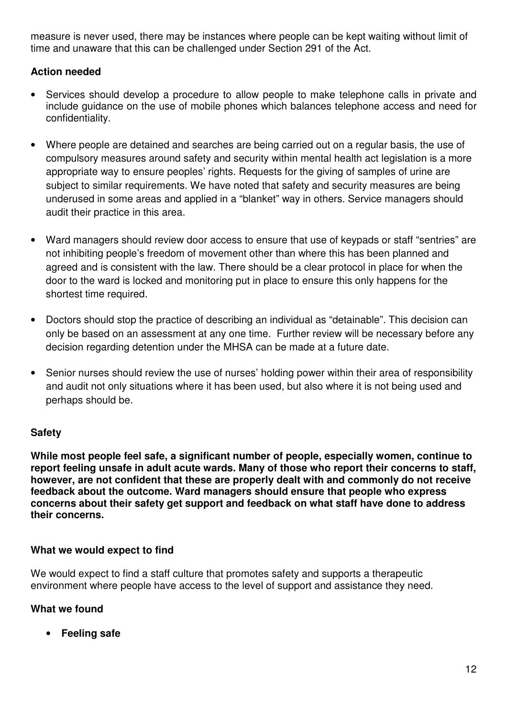measure is never used, there may be instances where people can be kept waiting without limit of time and unaware that this can be challenged under Section 291 of the Act.

# **Action needed**

- Services should develop a procedure to allow people to make telephone calls in private and include guidance on the use of mobile phones which balances telephone access and need for confidentiality.
- Where people are detained and searches are being carried out on a regular basis, the use of compulsory measures around safety and security within mental health act legislation is a more appropriate way to ensure peoples' rights. Requests for the giving of samples of urine are subject to similar requirements. We have noted that safety and security measures are being underused in some areas and applied in a "blanket" way in others. Service managers should audit their practice in this area.
- Ward managers should review door access to ensure that use of keypads or staff "sentries" are not inhibiting people's freedom of movement other than where this has been planned and agreed and is consistent with the law. There should be a clear protocol in place for when the door to the ward is locked and monitoring put in place to ensure this only happens for the shortest time required.
- Doctors should stop the practice of describing an individual as "detainable". This decision can only be based on an assessment at any one time. Further review will be necessary before any decision regarding detention under the MHSA can be made at a future date.
- Senior nurses should review the use of nurses' holding power within their area of responsibility and audit not only situations where it has been used, but also where it is not being used and perhaps should be.

# **Safety**

**While most people feel safe, a significant number of people, especially women, continue to report feeling unsafe in adult acute wards. Many of those who report their concerns to staff, however, are not confident that these are properly dealt with and commonly do not receive feedback about the outcome. Ward managers should ensure that people who express concerns about their safety get support and feedback on what staff have done to address their concerns.** 

# **What we would expect to find**

We would expect to find a staff culture that promotes safety and supports a therapeutic environment where people have access to the level of support and assistance they need.

# **What we found**

• **Feeling safe**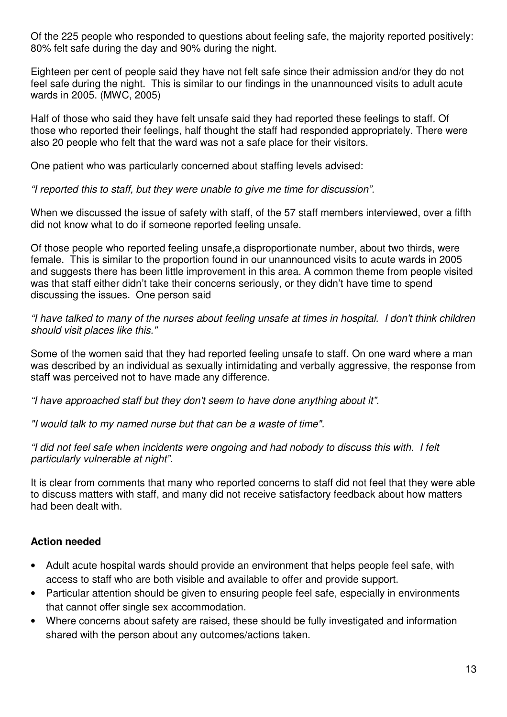Of the 225 people who responded to questions about feeling safe, the majority reported positively: 80% felt safe during the day and 90% during the night.

Eighteen per cent of people said they have not felt safe since their admission and/or they do not feel safe during the night. This is similar to our findings in the unannounced visits to adult acute wards in 2005. (MWC, 2005)

Half of those who said they have felt unsafe said they had reported these feelings to staff. Of those who reported their feelings, half thought the staff had responded appropriately. There were also 20 people who felt that the ward was not a safe place for their visitors.

One patient who was particularly concerned about staffing levels advised:

"I reported this to staff, but they were unable to give me time for discussion".

When we discussed the issue of safety with staff, of the 57 staff members interviewed, over a fifth did not know what to do if someone reported feeling unsafe.

Of those people who reported feeling unsafe,a disproportionate number, about two thirds, were female. This is similar to the proportion found in our unannounced visits to acute wards in 2005 and suggests there has been little improvement in this area. A common theme from people visited was that staff either didn't take their concerns seriously, or they didn't have time to spend discussing the issues. One person said

"I have talked to many of the nurses about feeling unsafe at times in hospital. I don't think children should visit places like this."

Some of the women said that they had reported feeling unsafe to staff. On one ward where a man was described by an individual as sexually intimidating and verbally aggressive, the response from staff was perceived not to have made any difference.

"I have approached staff but they don't seem to have done anything about it".

"I would talk to my named nurse but that can be a waste of time".

"I did not feel safe when incidents were ongoing and had nobody to discuss this with. I felt particularly vulnerable at night".

It is clear from comments that many who reported concerns to staff did not feel that they were able to discuss matters with staff, and many did not receive satisfactory feedback about how matters had been dealt with.

#### **Action needed**

- Adult acute hospital wards should provide an environment that helps people feel safe, with access to staff who are both visible and available to offer and provide support.
- Particular attention should be given to ensuring people feel safe, especially in environments that cannot offer single sex accommodation.
- Where concerns about safety are raised, these should be fully investigated and information shared with the person about any outcomes/actions taken.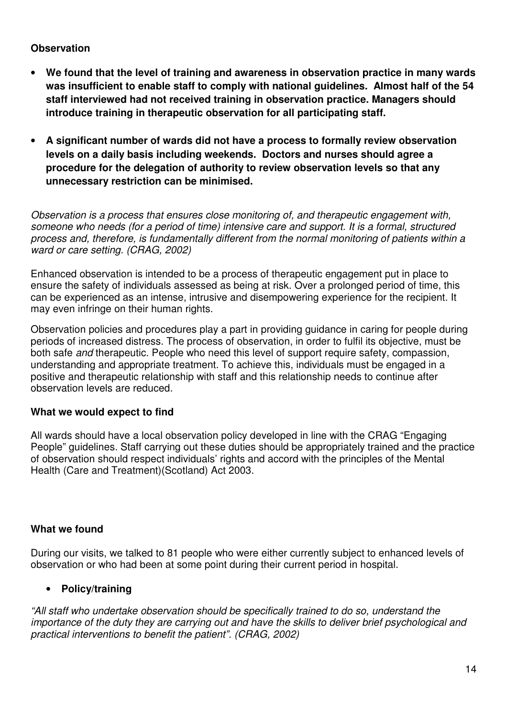#### **Observation**

- **We found that the level of training and awareness in observation practice in many wards was insufficient to enable staff to comply with national guidelines. Almost half of the 54 staff interviewed had not received training in observation practice. Managers should introduce training in therapeutic observation for all participating staff.**
- **A significant number of wards did not have a process to formally review observation levels on a daily basis including weekends. Doctors and nurses should agree a procedure for the delegation of authority to review observation levels so that any unnecessary restriction can be minimised.**

Observation is a process that ensures close monitoring of, and therapeutic engagement with, someone who needs (for a period of time) intensive care and support. It is a formal, structured process and, therefore, is fundamentally different from the normal monitoring of patients within a ward or care setting. (CRAG, 2002)

Enhanced observation is intended to be a process of therapeutic engagement put in place to ensure the safety of individuals assessed as being at risk. Over a prolonged period of time, this can be experienced as an intense, intrusive and disempowering experience for the recipient. It may even infringe on their human rights.

Observation policies and procedures play a part in providing guidance in caring for people during periods of increased distress. The process of observation, in order to fulfil its objective, must be both safe and therapeutic. People who need this level of support require safety, compassion, understanding and appropriate treatment. To achieve this, individuals must be engaged in a positive and therapeutic relationship with staff and this relationship needs to continue after observation levels are reduced.

#### **What we would expect to find**

All wards should have a local observation policy developed in line with the CRAG "Engaging People" guidelines. Staff carrying out these duties should be appropriately trained and the practice of observation should respect individuals' rights and accord with the principles of the Mental Health (Care and Treatment)(Scotland) Act 2003.

#### **What we found**

During our visits, we talked to 81 people who were either currently subject to enhanced levels of observation or who had been at some point during their current period in hospital.

# • **Policy/training**

"All staff who undertake observation should be specifically trained to do so, understand the importance of the duty they are carrying out and have the skills to deliver brief psychological and practical interventions to benefit the patient". (CRAG, 2002)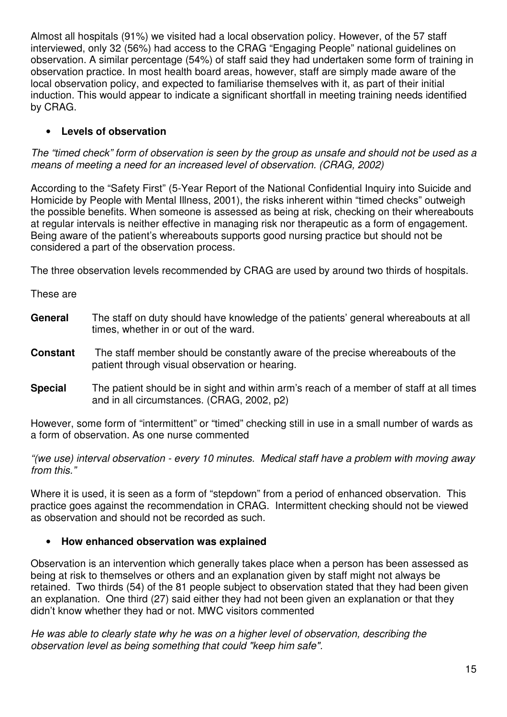Almost all hospitals (91%) we visited had a local observation policy. However, of the 57 staff interviewed, only 32 (56%) had access to the CRAG "Engaging People" national guidelines on observation. A similar percentage (54%) of staff said they had undertaken some form of training in observation practice. In most health board areas, however, staff are simply made aware of the local observation policy, and expected to familiarise themselves with it, as part of their initial induction. This would appear to indicate a significant shortfall in meeting training needs identified by CRAG.

# • **Levels of observation**

The "timed check" form of observation is seen by the group as unsafe and should not be used as a means of meeting a need for an increased level of observation. (CRAG, 2002)

According to the "Safety First" (5-Year Report of the National Confidential Inquiry into Suicide and Homicide by People with Mental Illness, 2001), the risks inherent within "timed checks" outweigh the possible benefits. When someone is assessed as being at risk, checking on their whereabouts at regular intervals is neither effective in managing risk nor therapeutic as a form of engagement. Being aware of the patient's whereabouts supports good nursing practice but should not be considered a part of the observation process.

The three observation levels recommended by CRAG are used by around two thirds of hospitals.

These are

- **General** The staff on duty should have knowledge of the patients' general whereabouts at all times, whether in or out of the ward.
- **Constant** The staff member should be constantly aware of the precise whereabouts of the patient through visual observation or hearing.
- **Special** The patient should be in sight and within arm's reach of a member of staff at all times and in all circumstances. (CRAG, 2002, p2)

However, some form of "intermittent" or "timed" checking still in use in a small number of wards as a form of observation. As one nurse commented

"(we use) interval observation - every 10 minutes. Medical staff have a problem with moving away from this."

Where it is used, it is seen as a form of "stepdown" from a period of enhanced observation. This practice goes against the recommendation in CRAG. Intermittent checking should not be viewed as observation and should not be recorded as such.

#### • **How enhanced observation was explained**

Observation is an intervention which generally takes place when a person has been assessed as being at risk to themselves or others and an explanation given by staff might not always be retained. Two thirds (54) of the 81 people subject to observation stated that they had been given an explanation. One third (27) said either they had not been given an explanation or that they didn't know whether they had or not. MWC visitors commented

He was able to clearly state why he was on a higher level of observation, describing the observation level as being something that could "keep him safe".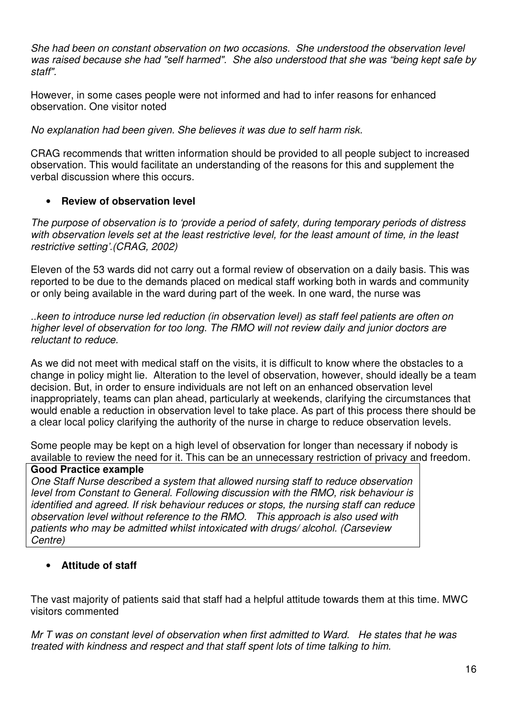She had been on constant observation on two occasions. She understood the observation level was raised because she had "self harmed". She also understood that she was "being kept safe by staff".

However, in some cases people were not informed and had to infer reasons for enhanced observation. One visitor noted

No explanation had been given. She believes it was due to self harm risk.

CRAG recommends that written information should be provided to all people subject to increased observation. This would facilitate an understanding of the reasons for this and supplement the verbal discussion where this occurs.

#### • **Review of observation level**

The purpose of observation is to 'provide a period of safety, during temporary periods of distress with observation levels set at the least restrictive level, for the least amount of time, in the least restrictive setting'.(CRAG, 2002)

Eleven of the 53 wards did not carry out a formal review of observation on a daily basis. This was reported to be due to the demands placed on medical staff working both in wards and community or only being available in the ward during part of the week. In one ward, the nurse was

..keen to introduce nurse led reduction (in observation level) as staff feel patients are often on higher level of observation for too long. The RMO will not review daily and junior doctors are reluctant to reduce.

As we did not meet with medical staff on the visits, it is difficult to know where the obstacles to a change in policy might lie. Alteration to the level of observation, however, should ideally be a team decision. But, in order to ensure individuals are not left on an enhanced observation level inappropriately, teams can plan ahead, particularly at weekends, clarifying the circumstances that would enable a reduction in observation level to take place. As part of this process there should be a clear local policy clarifying the authority of the nurse in charge to reduce observation levels.

Some people may be kept on a high level of observation for longer than necessary if nobody is available to review the need for it. This can be an unnecessary restriction of privacy and freedom.

#### **Good Practice example**

One Staff Nurse described a system that allowed nursing staff to reduce observation level from Constant to General. Following discussion with the RMO, risk behaviour is identified and agreed. If risk behaviour reduces or stops, the nursing staff can reduce observation level without reference to the RMO. This approach is also used with patients who may be admitted whilst intoxicated with drugs/ alcohol. (Carseview Centre)

#### • **Attitude of staff**

The vast majority of patients said that staff had a helpful attitude towards them at this time. MWC visitors commented

Mr T was on constant level of observation when first admitted to Ward. He states that he was treated with kindness and respect and that staff spent lots of time talking to him.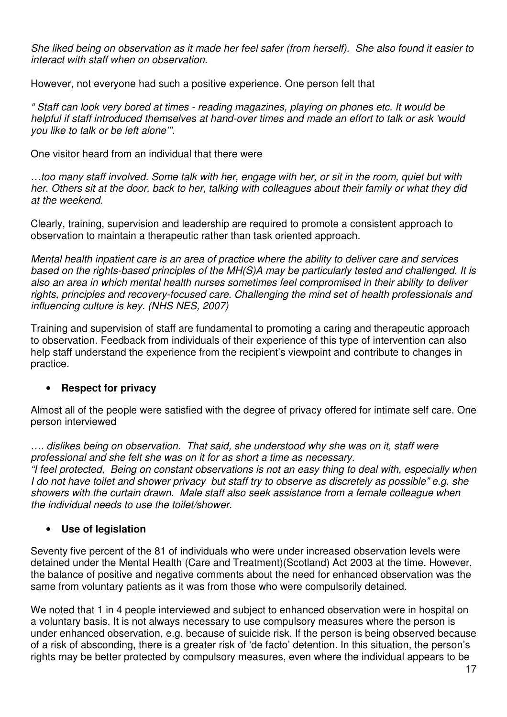She liked being on observation as it made her feel safer (from herself). She also found it easier to interact with staff when on observation.

However, not everyone had such a positive experience. One person felt that

" Staff can look very bored at times - reading magazines, playing on phones etc. It would be helpful if staff introduced themselves at hand-over times and made an effort to talk or ask 'would you like to talk or be left alone'''.

One visitor heard from an individual that there were

…too many staff involved. Some talk with her, engage with her, or sit in the room, quiet but with her. Others sit at the door, back to her, talking with colleagues about their family or what they did at the weekend.

Clearly, training, supervision and leadership are required to promote a consistent approach to observation to maintain a therapeutic rather than task oriented approach.

Mental health inpatient care is an area of practice where the ability to deliver care and services based on the rights-based principles of the MH(S)A may be particularly tested and challenged. It is also an area in which mental health nurses sometimes feel compromised in their ability to deliver rights, principles and recovery-focused care. Challenging the mind set of health professionals and influencing culture is key. (NHS NES, 2007)

Training and supervision of staff are fundamental to promoting a caring and therapeutic approach to observation. Feedback from individuals of their experience of this type of intervention can also help staff understand the experience from the recipient's viewpoint and contribute to changes in practice.

#### • **Respect for privacy**

Almost all of the people were satisfied with the degree of privacy offered for intimate self care. One person interviewed

…. dislikes being on observation. That said, she understood why she was on it, staff were professional and she felt she was on it for as short a time as necessary. "I feel protected, Being on constant observations is not an easy thing to deal with, especially when I do not have toilet and shower privacy but staff try to observe as discretely as possible" e.g. she showers with the curtain drawn. Male staff also seek assistance from a female colleague when the individual needs to use the toilet/shower.

# • **Use of legislation**

Seventy five percent of the 81 of individuals who were under increased observation levels were detained under the Mental Health (Care and Treatment)(Scotland) Act 2003 at the time. However, the balance of positive and negative comments about the need for enhanced observation was the same from voluntary patients as it was from those who were compulsorily detained.

We noted that 1 in 4 people interviewed and subject to enhanced observation were in hospital on a voluntary basis. It is not always necessary to use compulsory measures where the person is under enhanced observation, e.g. because of suicide risk. If the person is being observed because of a risk of absconding, there is a greater risk of 'de facto' detention. In this situation, the person's rights may be better protected by compulsory measures, even where the individual appears to be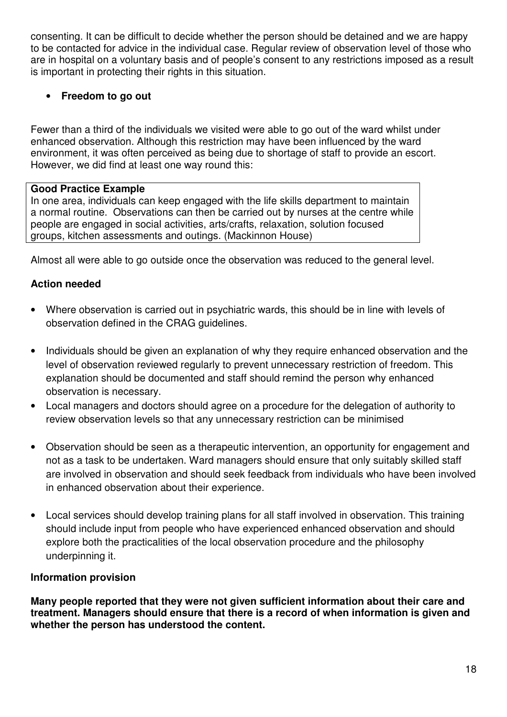consenting. It can be difficult to decide whether the person should be detained and we are happy to be contacted for advice in the individual case. Regular review of observation level of those who are in hospital on a voluntary basis and of people's consent to any restrictions imposed as a result is important in protecting their rights in this situation.

# • **Freedom to go out**

Fewer than a third of the individuals we visited were able to go out of the ward whilst under enhanced observation. Although this restriction may have been influenced by the ward environment, it was often perceived as being due to shortage of staff to provide an escort. However, we did find at least one way round this:

# **Good Practice Example**

In one area, individuals can keep engaged with the life skills department to maintain a normal routine. Observations can then be carried out by nurses at the centre while people are engaged in social activities, arts/crafts, relaxation, solution focused groups, kitchen assessments and outings. (Mackinnon House)

Almost all were able to go outside once the observation was reduced to the general level.

# **Action needed**

- Where observation is carried out in psychiatric wards, this should be in line with levels of observation defined in the CRAG guidelines.
- Individuals should be given an explanation of why they require enhanced observation and the level of observation reviewed regularly to prevent unnecessary restriction of freedom. This explanation should be documented and staff should remind the person why enhanced observation is necessary.
- Local managers and doctors should agree on a procedure for the delegation of authority to review observation levels so that any unnecessary restriction can be minimised
- Observation should be seen as a therapeutic intervention, an opportunity for engagement and not as a task to be undertaken. Ward managers should ensure that only suitably skilled staff are involved in observation and should seek feedback from individuals who have been involved in enhanced observation about their experience.
- Local services should develop training plans for all staff involved in observation. This training should include input from people who have experienced enhanced observation and should explore both the practicalities of the local observation procedure and the philosophy underpinning it.

# **Information provision**

**Many people reported that they were not given sufficient information about their care and treatment. Managers should ensure that there is a record of when information is given and whether the person has understood the content.**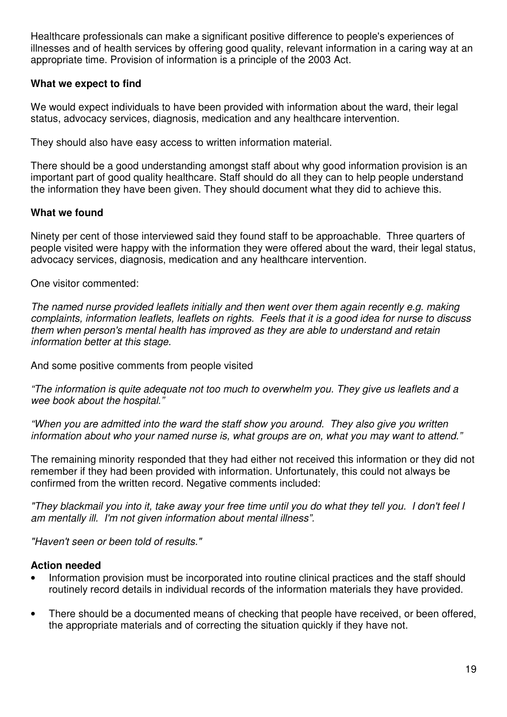Healthcare professionals can make a significant positive difference to people's experiences of illnesses and of health services by offering good quality, relevant information in a caring way at an appropriate time. Provision of information is a principle of the 2003 Act.

#### **What we expect to find**

We would expect individuals to have been provided with information about the ward, their legal status, advocacy services, diagnosis, medication and any healthcare intervention.

They should also have easy access to written information material.

There should be a good understanding amongst staff about why good information provision is an important part of good quality healthcare. Staff should do all they can to help people understand the information they have been given. They should document what they did to achieve this.

# **What we found**

Ninety per cent of those interviewed said they found staff to be approachable. Three quarters of people visited were happy with the information they were offered about the ward, their legal status, advocacy services, diagnosis, medication and any healthcare intervention.

One visitor commented:

The named nurse provided leaflets initially and then went over them again recently e.g. making complaints, information leaflets, leaflets on rights. Feels that it is a good idea for nurse to discuss them when person's mental health has improved as they are able to understand and retain information better at this stage.

And some positive comments from people visited

"The information is quite adequate not too much to overwhelm you. They give us leaflets and a wee book about the hospital.'

"When you are admitted into the ward the staff show you around. They also give you written information about who your named nurse is, what groups are on, what you may want to attend."

The remaining minority responded that they had either not received this information or they did not remember if they had been provided with information. Unfortunately, this could not always be confirmed from the written record. Negative comments included:

"They blackmail you into it, take away your free time until you do what they tell you. I don't feel I am mentally ill. I'm not given information about mental illness".

"Haven't seen or been told of results."

#### **Action needed**

- Information provision must be incorporated into routine clinical practices and the staff should routinely record details in individual records of the information materials they have provided.
- There should be a documented means of checking that people have received, or been offered, the appropriate materials and of correcting the situation quickly if they have not.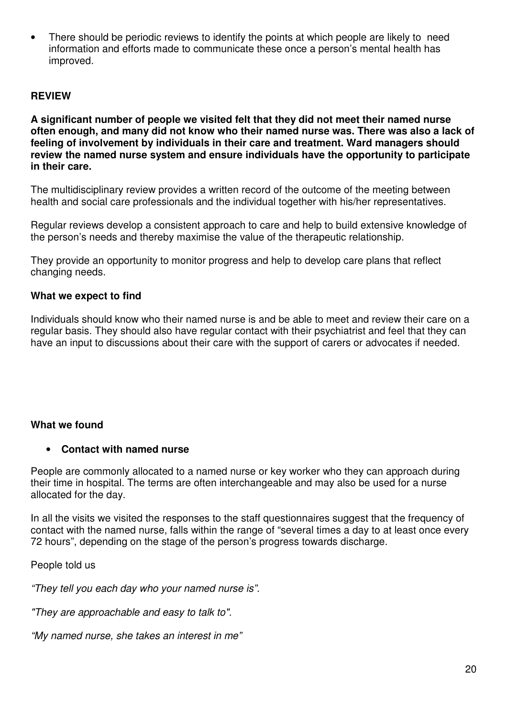• There should be periodic reviews to identify the points at which people are likely to need information and efforts made to communicate these once a person's mental health has improved.

#### **REVIEW**

**A significant number of people we visited felt that they did not meet their named nurse often enough, and many did not know who their named nurse was. There was also a lack of feeling of involvement by individuals in their care and treatment. Ward managers should review the named nurse system and ensure individuals have the opportunity to participate in their care.** 

The multidisciplinary review provides a written record of the outcome of the meeting between health and social care professionals and the individual together with his/her representatives.

Regular reviews develop a consistent approach to care and help to build extensive knowledge of the person's needs and thereby maximise the value of the therapeutic relationship.

They provide an opportunity to monitor progress and help to develop care plans that reflect changing needs.

#### **What we expect to find**

Individuals should know who their named nurse is and be able to meet and review their care on a regular basis. They should also have regular contact with their psychiatrist and feel that they can have an input to discussions about their care with the support of carers or advocates if needed.

#### **What we found**

#### • **Contact with named nurse**

People are commonly allocated to a named nurse or key worker who they can approach during their time in hospital. The terms are often interchangeable and may also be used for a nurse allocated for the day.

In all the visits we visited the responses to the staff questionnaires suggest that the frequency of contact with the named nurse, falls within the range of "several times a day to at least once every 72 hours", depending on the stage of the person's progress towards discharge.

People told us

"They tell you each day who your named nurse is".

"They are approachable and easy to talk to".

"My named nurse, she takes an interest in me"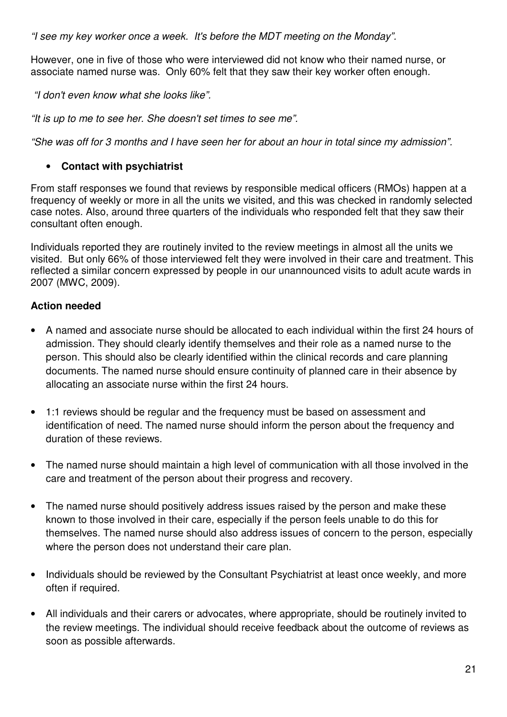"I see my key worker once a week. It's before the MDT meeting on the Monday".

However, one in five of those who were interviewed did not know who their named nurse, or associate named nurse was. Only 60% felt that they saw their key worker often enough.

"I don't even know what she looks like".

"It is up to me to see her. She doesn't set times to see me".

"She was off for 3 months and I have seen her for about an hour in total since my admission".

# • **Contact with psychiatrist**

From staff responses we found that reviews by responsible medical officers (RMOs) happen at a frequency of weekly or more in all the units we visited, and this was checked in randomly selected case notes. Also, around three quarters of the individuals who responded felt that they saw their consultant often enough.

Individuals reported they are routinely invited to the review meetings in almost all the units we visited. But only 66% of those interviewed felt they were involved in their care and treatment. This reflected a similar concern expressed by people in our unannounced visits to adult acute wards in 2007 (MWC, 2009).

# **Action needed**

- A named and associate nurse should be allocated to each individual within the first 24 hours of admission. They should clearly identify themselves and their role as a named nurse to the person. This should also be clearly identified within the clinical records and care planning documents. The named nurse should ensure continuity of planned care in their absence by allocating an associate nurse within the first 24 hours.
- 1:1 reviews should be regular and the frequency must be based on assessment and identification of need. The named nurse should inform the person about the frequency and duration of these reviews.
- The named nurse should maintain a high level of communication with all those involved in the care and treatment of the person about their progress and recovery.
- The named nurse should positively address issues raised by the person and make these known to those involved in their care, especially if the person feels unable to do this for themselves. The named nurse should also address issues of concern to the person, especially where the person does not understand their care plan.
- Individuals should be reviewed by the Consultant Psychiatrist at least once weekly, and more often if required.
- All individuals and their carers or advocates, where appropriate, should be routinely invited to the review meetings. The individual should receive feedback about the outcome of reviews as soon as possible afterwards.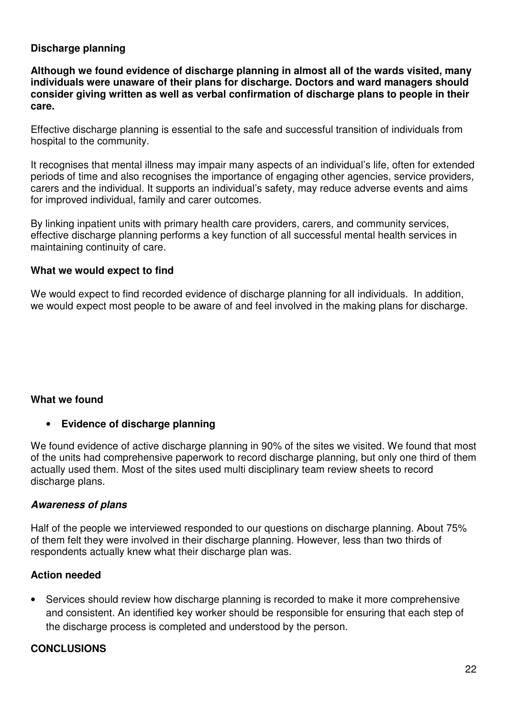#### **Discharge planning**

**Although we found evidence of discharge planning in almost all of the wards visited, many individuals were unaware of their plans for discharge. Doctors and ward managers should consider giving written as well as verbal confirmation of discharge plans to people in their care.** 

Effective discharge planning is essential to the safe and successful transition of individuals from hospital to the community.

It recognises that mental illness may impair many aspects of an individual's life, often for extended periods of time and also recognises the importance of engaging other agencies, service providers, carers and the individual. It supports an individual's safety, may reduce adverse events and aims for improved individual, family and carer outcomes.

By linking inpatient units with primary health care providers, carers, and community services, effective discharge planning performs a key function of all successful mental health services in maintaining continuity of care.

#### **What we would expect to find**

We would expect to find recorded evidence of discharge planning for all individuals. In addition, we would expect most people to be aware of and feel involved in the making plans for discharge.

#### **What we found**

#### • **Evidence of discharge planning**

We found evidence of active discharge planning in 90% of the sites we visited. We found that most of the units had comprehensive paperwork to record discharge planning, but only one third of them actually used them. Most of the sites used multi disciplinary team review sheets to record discharge plans.

#### **Awareness of plans**

Half of the people we interviewed responded to our questions on discharge planning. About 75% of them felt they were involved in their discharge planning. However, less than two thirds of respondents actually knew what their discharge plan was.

#### **Action needed**

• Services should review how discharge planning is recorded to make it more comprehensive and consistent. An identified key worker should be responsible for ensuring that each step of the discharge process is completed and understood by the person.

#### **CONCLUSIONS**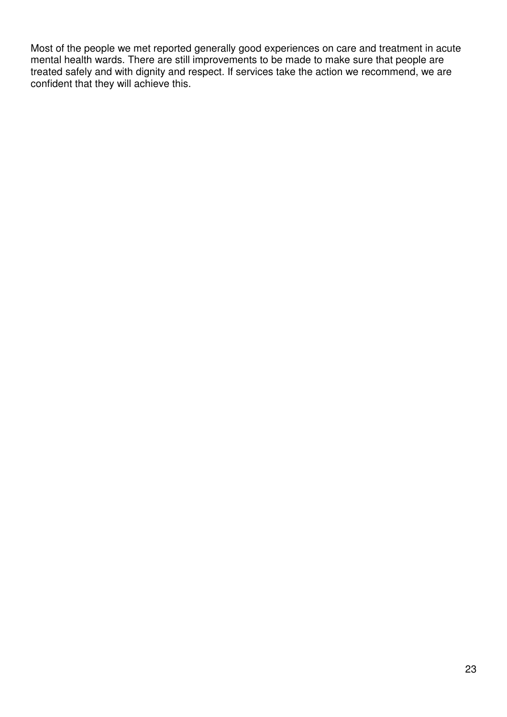Most of the people we met reported generally good experiences on care and treatment in acute mental health wards. There are still improvements to be made to make sure that people are treated safely and with dignity and respect. If services take the action we recommend, we are confident that they will achieve this.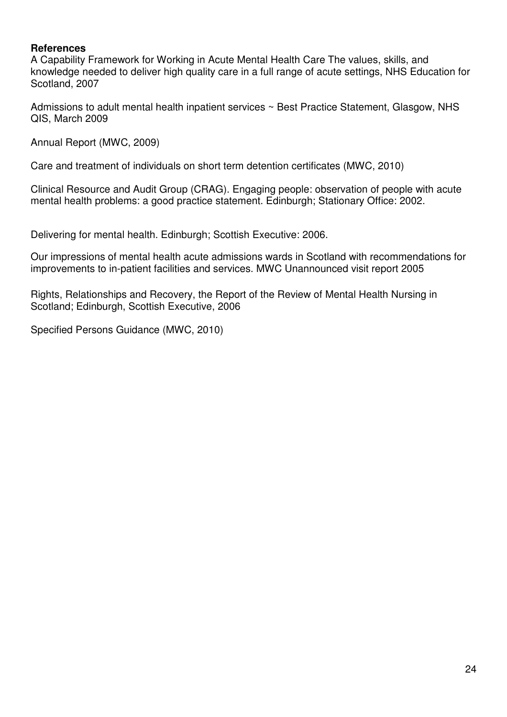#### **References**

A Capability Framework for Working in Acute Mental Health Care The values, skills, and knowledge needed to deliver high quality care in a full range of acute settings, NHS Education for Scotland, 2007

Admissions to adult mental health inpatient services ~ Best Practice Statement, Glasgow, NHS QIS, March 2009

Annual Report (MWC, 2009)

Care and treatment of individuals on short term detention certificates (MWC, 2010)

Clinical Resource and Audit Group (CRAG). Engaging people: observation of people with acute mental health problems: a good practice statement. Edinburgh; Stationary Office: 2002.

Delivering for mental health. Edinburgh; Scottish Executive: 2006.

Our impressions of mental health acute admissions wards in Scotland with recommendations for improvements to in-patient facilities and services. MWC Unannounced visit report 2005

Rights, Relationships and Recovery, the Report of the Review of Mental Health Nursing in Scotland; Edinburgh, Scottish Executive, 2006

Specified Persons Guidance (MWC, 2010)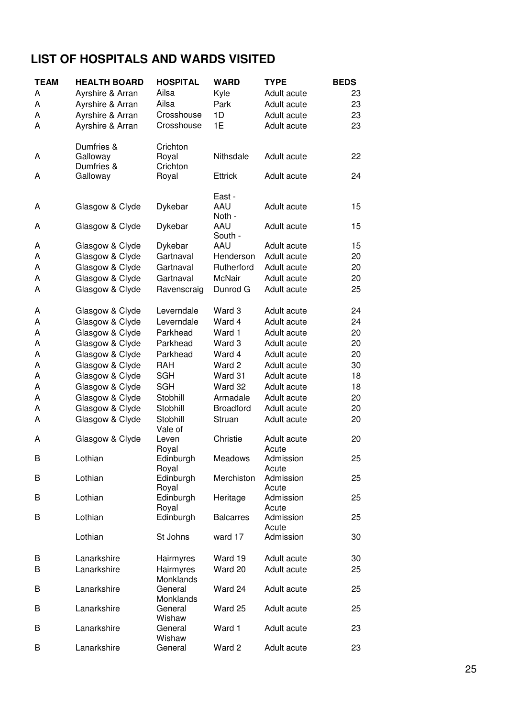# **LIST OF HOSPITALS AND WARDS VISITED**

| <b>TEAM</b> | <b>HEALTH BOARD</b>    | <b>HOSPITAL</b>    | <b>WARD</b>      | <b>TYPE</b>          | <b>BEDS</b> |
|-------------|------------------------|--------------------|------------------|----------------------|-------------|
| A           | Ayrshire & Arran       | Ailsa              | Kyle             | Adult acute          | 23          |
| Α           | Ayrshire & Arran       | Ailsa              | Park             | Adult acute          | 23          |
| А           | Ayrshire & Arran       | Crosshouse         | 1D               | Adult acute          | 23          |
| Α           | Ayrshire & Arran       | Crosshouse         | 1E               | Adult acute          | 23          |
|             |                        |                    |                  |                      |             |
|             | Dumfries &             | Crichton           |                  |                      |             |
| A           | Galloway<br>Dumfries & | Royal<br>Crichton  | Nithsdale        | Adult acute          | 22          |
| A           | Galloway               | Royal              | <b>Ettrick</b>   | Adult acute          | 24          |
|             |                        |                    | East -           |                      |             |
| A           | Glasgow & Clyde        | Dykebar            | AAU              | Adult acute          | 15          |
|             |                        |                    | Noth -           |                      |             |
| A           | Glasgow & Clyde        | Dykebar            | AAU<br>South -   | Adult acute          | 15          |
| A           | Glasgow & Clyde        | Dykebar            | AAU              | Adult acute          | 15          |
| A           | Glasgow & Clyde        | Gartnaval          | Henderson        | Adult acute          | 20          |
| A           | Glasgow & Clyde        | Gartnaval          | Rutherford       | Adult acute          | 20          |
| A           | Glasgow & Clyde        | Gartnaval          | <b>McNair</b>    | Adult acute          | 20          |
| Α           | Glasgow & Clyde        | Ravenscraig        | Dunrod G         | Adult acute          | 25          |
|             |                        |                    |                  |                      |             |
| A           | Glasgow & Clyde        | Leverndale         | Ward 3           | Adult acute          | 24          |
| A           | Glasgow & Clyde        | Leverndale         | Ward 4           | Adult acute          | 24          |
| A           | Glasgow & Clyde        | Parkhead           | Ward 1           | Adult acute          | 20          |
| А           | Glasgow & Clyde        | Parkhead           | Ward 3           | Adult acute          | 20          |
| A           | Glasgow & Clyde        | Parkhead           | Ward 4           | Adult acute          | 20          |
| A           | Glasgow & Clyde        | <b>RAH</b>         | Ward 2           | Adult acute          | 30          |
| A           | Glasgow & Clyde        | <b>SGH</b>         | Ward 31          | Adult acute          | 18          |
| A           | Glasgow & Clyde        | <b>SGH</b>         | Ward 32          | Adult acute          | 18          |
| A           | Glasgow & Clyde        | Stobhill           | Armadale         | Adult acute          | 20          |
| A           | Glasgow & Clyde        | Stobhill           | <b>Broadford</b> | Adult acute          | 20          |
| Α           | Glasgow & Clyde        | Stobhill           | Struan           | Adult acute          | 20          |
|             |                        | Vale of            |                  |                      |             |
| A           | Glasgow & Clyde        | Leven              | Christie         | Adult acute<br>Acute | 20          |
| B           | Lothian                | Royal<br>Edinburgh | Meadows          | Admission            | 25          |
|             |                        | Royal              |                  | Acute                |             |
| В           | Lothian                | Edinburgh          | Merchiston       | Admission            | 25          |
|             |                        | Royal              |                  | Acute                |             |
| B           | Lothian                | Edinburgh          | Heritage         | Admission            | 25          |
|             |                        | Royal              |                  | Acute                |             |
| В           | Lothian                | Edinburgh          | <b>Balcarres</b> | Admission            | 25          |
|             |                        |                    |                  | Acute                |             |
|             | Lothian                | St Johns           | ward 17          | Admission            | 30          |
| В           | Lanarkshire            | Hairmyres          | Ward 19          | Adult acute          | 30          |
| В           | Lanarkshire            | Hairmyres          | Ward 20          | Adult acute          | 25          |
|             |                        | Monklands          |                  |                      |             |
| В           | Lanarkshire            | General            | Ward 24          | Adult acute          | 25          |
|             |                        | Monklands          |                  |                      |             |
| B           | Lanarkshire            | General            | Ward 25          | Adult acute          | 25          |
|             |                        | Wishaw             |                  |                      |             |
| B           | Lanarkshire            | General            | Ward 1           | Adult acute          | 23          |
| В           | Lanarkshire            | Wishaw<br>General  | Ward 2           | Adult acute          | 23          |
|             |                        |                    |                  |                      |             |